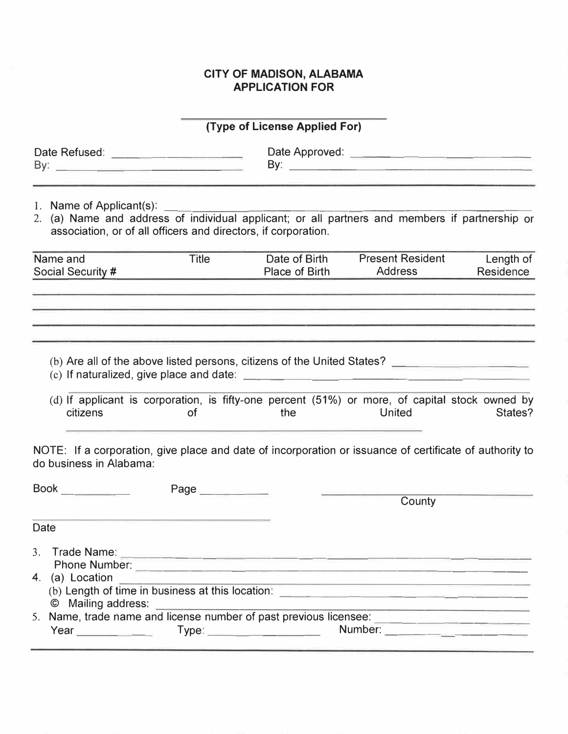## **CITY OF MADISON, ALABAMA APPLICATION FOR**

| (Type of License Applied For)                                                                                                                                                                |           |                                 |                                                                                                                                                                                                                                                                               |                        |
|----------------------------------------------------------------------------------------------------------------------------------------------------------------------------------------------|-----------|---------------------------------|-------------------------------------------------------------------------------------------------------------------------------------------------------------------------------------------------------------------------------------------------------------------------------|------------------------|
| Date Refused: _________________________                                                                                                                                                      |           |                                 |                                                                                                                                                                                                                                                                               |                        |
| 1. Name of Applicant(s):<br>2. (a) Name and address of individual applicant; or all partners and members if partnership or<br>association, or of all officers and directors, if corporation. |           |                                 |                                                                                                                                                                                                                                                                               |                        |
| Name and<br>Social Security #                                                                                                                                                                | Title     | Date of Birth<br>Place of Birth | <b>Present Resident</b><br>Address                                                                                                                                                                                                                                            | Length of<br>Residence |
| citizens                                                                                                                                                                                     | <b>of</b> | the                             | (b) Are all of the above listed persons, citizens of the United States? [14] [15] [16] Are all of the above listed persons, citizens of the United States?<br>(d) If applicant is corporation, is fifty-one percent (51%) or more, of capital stock owned by<br><b>United</b> | States?                |
| NOTE: If a corporation, give place and date of incorporation or issuance of certificate of authority to<br>do business in Alabama:                                                           |           |                                 |                                                                                                                                                                                                                                                                               |                        |
| Book<br>Page _________                                                                                                                                                                       |           |                                 | County                                                                                                                                                                                                                                                                        |                        |
| Date                                                                                                                                                                                         |           |                                 |                                                                                                                                                                                                                                                                               |                        |
| 4. (a) Location<br>© Mailing address:                                                                                                                                                        |           |                                 | <u> 1989 - Johann Harrison, markin amerikan bizi dago da bashkar a shekara ta 1989 - An da bashkar a shekara ta 1</u>                                                                                                                                                         |                        |
| 5. Name, trade name and license number of past previous licensee:                                                                                                                            |           |                                 |                                                                                                                                                                                                                                                                               |                        |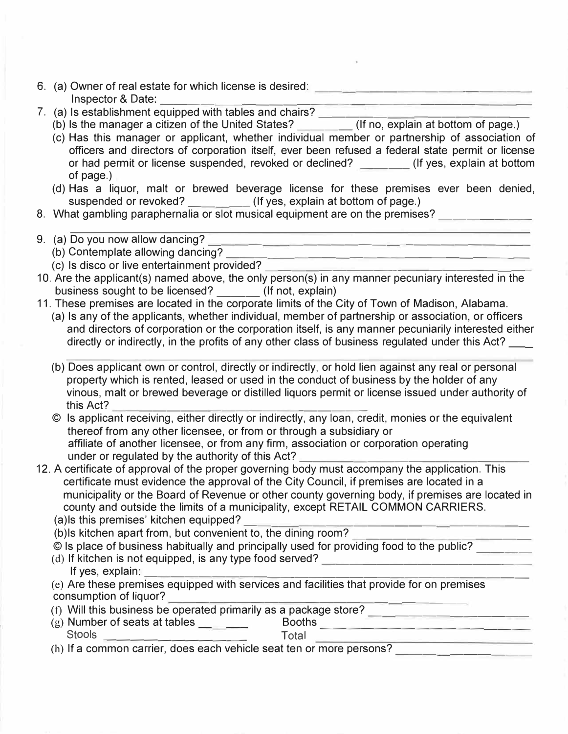- 6. (a) Owner of real estate for which license is desired:<br>Inspector & Date:
- 7. (a) Is establishment equipped with tables and chairs?
	- 7. (a) Is establishment equipped with tables and chairs? \_\_\_\_\_\_ \_\_\_\_\_\_\_\_ \_ (b) Is the manager a citizen of the United States? \_\_\_\_ (If no, explain at bottom of page.)
	- (c) Has this manager or applicant, whether individual member or partnership of association of officers and directors of corporation itself, ever been refused a federal state permit or license or had permit or license suspended, revoked or declined? \_\_\_\_\_\_ (If yes, explain at bottom of page.)
	- (d) Has a liquor, malt or brewed beverage license for these premises ever been denied, suspended or revoked? \_\_\_\_\_\_\_\_\_(If yes, explain at bottom of page.)
- 8. What gambling paraphernalia or slot musical equipment are on the premises? \_\_\_\_\_\_\_\_\_\_\_\_\_\_\_\_\_\_\_\_\_\_\_\_\_\_\_\_\_\_\_\_
- 9. (a) Do you now allow dancing? **Example 20 you now allow dancing?** 
	- (b) Contemplate allowing dancing? The context of the context of the context of the context of the context of the context of the context of the context of the context of the context of the context of the context of the cont
	- (c) Is disco or live entertainment provided? \_\_\_\_\_\_\_\_\_\_\_\_\_\_\_\_\_ \_ \_
- 10. Are the applicant(s) named above, the only person(s) in any manner pecuniary interested in the business sought to be licensed? \_\_\_\_\_\_\_ (If not, explain)
- 11. These premises are located in the corporate limits of the City of Town of Madison, Alabama.
	- (a) Is any of the applicants, whether individual, member of partnership or association, or officers and directors of corporation or the corporation itself, is any manner pecuniarily interested either directly or indirectly, in the profits of any other class of business regulated under this Act?
	- (b) Does applicant own or control, directly or indirectly, or hold lien against any real or personal property which is rented, leased or used in the conduct of business by the holder of any vinous, malt or brewed beverage or distilled liquors permit or license issued under authority of this Act?  $\frac{1}{\sqrt{2}}$
	- © Is applicant receiving, either directly or indirectly, any loan, credit, monies or the equivalent thereof from any other licensee, or from or through a subsidiary or affiliate of another licensee, or from any firm, association or corporation operating under or regulated by the authority of this Act?
- 12. A certificate of approval of the proper governing body must accompany the application. This certificate must evidence the approval of the City Council, if premises are located in a municipality or the Board of Revenue or other county governing body, if premises are located in county and outside the limits of a municipality, except RETAIL COMMON CARRIERS.
	-
	- (a)ls this premises' kitchen equipped?  $\frac{1}{2}$  (b)ls kitchen apart from, but convenient to, the dining room?
	-
	- C Is place of business habitually and principally used for providing food to the public?<br>
	(d) If kitchen is not equipped, is any type food served?<br>
	If yes, explain:<br>
	(e) Are these premises equipped with services and facili
	- consumption of liquor? ---------------- ------
	- (f) Will this business be operated primarily as a package store?
	- $\begin{picture}( 20,40) \put( 20,40){\line(1,0){156}} \put( 20,40){\line(1,0){156}} \put( 20,40){\line(1,0){156}} \put( 20,40){\line(1,0){156}} \put( 20,40){\line(1,0){156}} \put( 20,40){\line(1,0){156}} \put( 20,40){\line(1,0){156}} \put( 20,40){\line(1,0){156}} \put( 20,40){\line(1,0){156}} \put( 20,40){\line(1,0){15$
	- (h) If a common carrier, does each vehicle seat ten or more persons?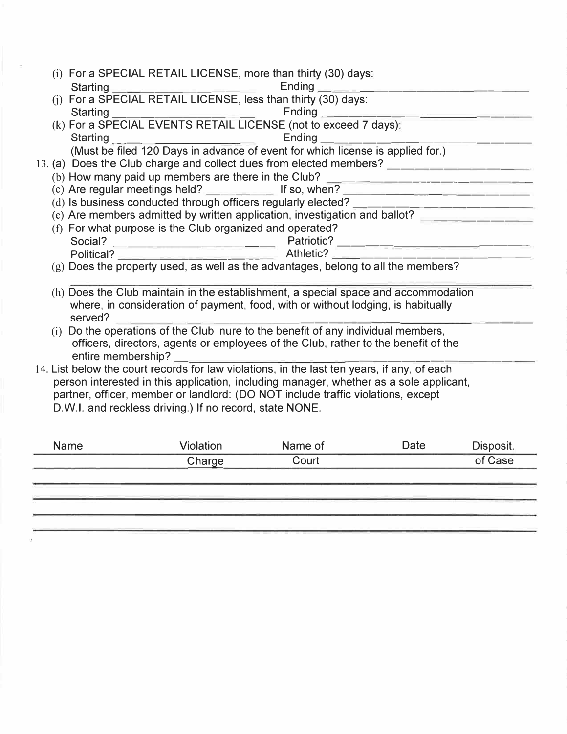|                                                                                        |                                                                                                                                             | (i) For a SPECIAL RETAIL LICENSE, more than thirty (30) days:<br><b>Starting</b>            |                  | Ending                                                                             |      |           |
|----------------------------------------------------------------------------------------|---------------------------------------------------------------------------------------------------------------------------------------------|---------------------------------------------------------------------------------------------|------------------|------------------------------------------------------------------------------------|------|-----------|
|                                                                                        |                                                                                                                                             | Starting Ending Ending<br>(j) For a SPECIAL RETAIL LICENSE, less than thirty (30) days:     |                  |                                                                                    |      |           |
|                                                                                        |                                                                                                                                             | Starting                                                                                    |                  | Ending <b>Exercise Service</b>                                                     |      |           |
|                                                                                        |                                                                                                                                             | (k) For a SPECIAL EVENTS RETAIL LICENSE (not to exceed 7 days):                             |                  |                                                                                    |      |           |
|                                                                                        |                                                                                                                                             | Starting _______________________                                                            |                  | Ending _____________                                                               |      |           |
|                                                                                        |                                                                                                                                             |                                                                                             |                  | (Must be filed 120 Days in advance of event for which license is applied for.)     |      |           |
|                                                                                        |                                                                                                                                             | 13. (a) Does the Club charge and collect dues from elected members?                         |                  |                                                                                    |      |           |
|                                                                                        |                                                                                                                                             | (b) How many paid up members are there in the Club? _____________________________           |                  |                                                                                    |      |           |
|                                                                                        |                                                                                                                                             | (c) Are regular meetings held? If so, when?                                                 |                  |                                                                                    |      |           |
|                                                                                        |                                                                                                                                             |                                                                                             |                  |                                                                                    |      |           |
|                                                                                        |                                                                                                                                             | (c) Are members admitted by written application, investigation and ballot?                  |                  |                                                                                    |      |           |
|                                                                                        |                                                                                                                                             | (f) For what purpose is the Club organized and operated?                                    |                  |                                                                                    |      |           |
|                                                                                        |                                                                                                                                             |                                                                                             |                  |                                                                                    |      |           |
|                                                                                        |                                                                                                                                             |                                                                                             |                  |                                                                                    |      |           |
|                                                                                        |                                                                                                                                             | (g) Does the property used, as well as the advantages, belong to all the members?           |                  |                                                                                    |      |           |
|                                                                                        |                                                                                                                                             | (h) Does the Club maintain in the establishment, a special space and accommodation          |                  |                                                                                    |      |           |
|                                                                                        |                                                                                                                                             | served?                                                                                     |                  | where, in consideration of payment, food, with or without lodging, is habitually   |      |           |
|                                                                                        |                                                                                                                                             | (i) Do the operations of the Club inure to the benefit of any individual members,           |                  |                                                                                    |      |           |
|                                                                                        |                                                                                                                                             |                                                                                             |                  | officers, directors, agents or employees of the Club, rather to the benefit of the |      |           |
|                                                                                        |                                                                                                                                             | entire membership?                                                                          |                  |                                                                                    |      |           |
|                                                                                        |                                                                                                                                             | 14. List below the court records for law violations, in the last ten years, if any, of each |                  |                                                                                    |      |           |
| person interested in this application, including manager, whether as a sole applicant, |                                                                                                                                             |                                                                                             |                  |                                                                                    |      |           |
|                                                                                        | partner, officer, member or landlord: (DO NOT include traffic violations, except<br>D.W.I. and reckless driving.) If no record, state NONE. |                                                                                             |                  |                                                                                    |      |           |
|                                                                                        |                                                                                                                                             |                                                                                             |                  |                                                                                    |      |           |
|                                                                                        |                                                                                                                                             |                                                                                             |                  |                                                                                    |      |           |
|                                                                                        |                                                                                                                                             | <b>Name</b>                                                                                 | <b>Violation</b> | Name of                                                                            | Date | Disposit. |
|                                                                                        |                                                                                                                                             |                                                                                             | Charna           | $C$ $\Omega$ urt                                                                   |      | of Case 2 |

| <b>Natile</b> | <b>VIOIAUOII</b> | <b>Natile OF</b> | Dale | <b>DISPOSIL</b> |
|---------------|------------------|------------------|------|-----------------|
|               | Charge           | Court            |      | of Case         |
|               |                  |                  |      |                 |
|               |                  |                  |      |                 |
|               |                  |                  |      |                 |
|               |                  |                  |      |                 |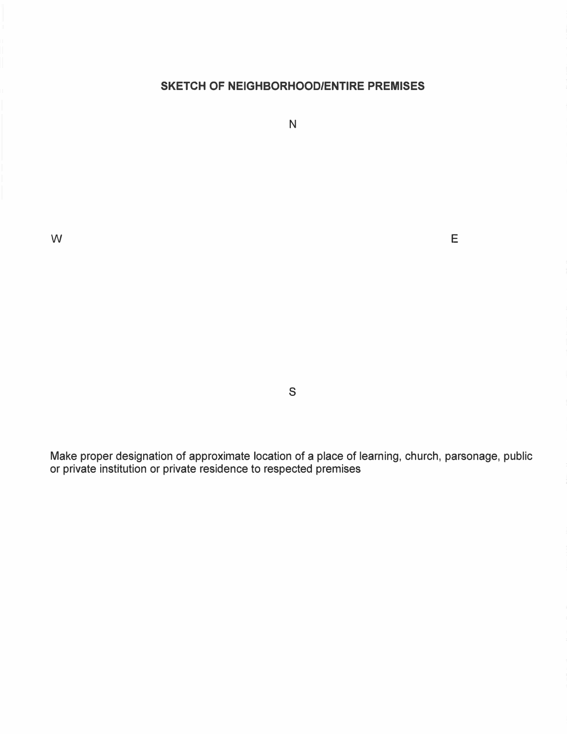## **SKETCH OF NEIGHBORHOOD/ENTIRE PREMISES**

N

w **E** 

s

Make proper designation of approximate location of a place of learning, church, parsonage, public or private institution or private residence to respected premises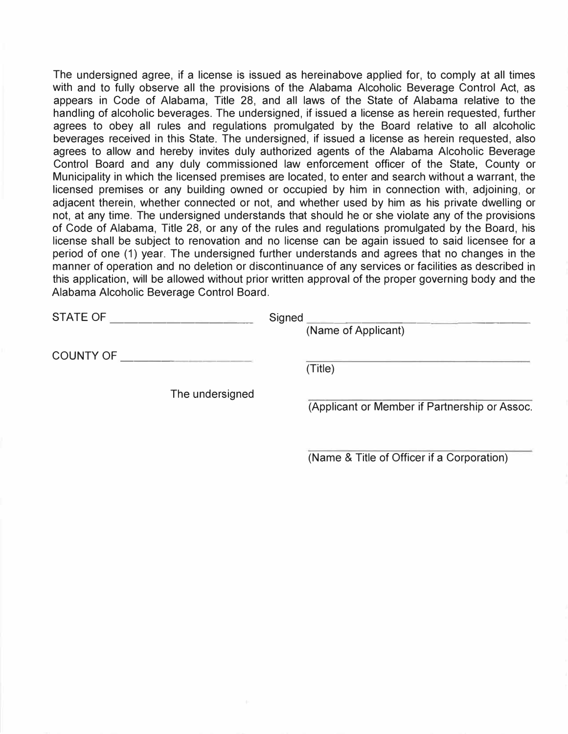The undersigned agree, if a license is issued as hereinabove applied for, to comply at all times with and to fully observe all the provisions of the Alabama Alcoholic Beverage Control Act, as appears in Code of Alabama, Title 28, and all laws of the State of Alabama relative to the handling of alcoholic beverages. The undersigned, if issued a license as herein requested, further agrees to obey all rules and regulations promulgated by the Board relative to all alcoholic beverages received in this State. The undersigned, if issued a license as herein requested, also agrees to allow and hereby invites duly authorized agents of the Alabama Alcoholic Beverage Control Board and any duly commissioned law enforcement officer of the State, County or Municipality in which the licensed premises are located, to enter and search without a warrant, the licensed premises or any building owned or occupied by him in connection with, adjoining, or adjacent therein, whether connected or not, and whether used by him as his private dwelling or not, at any time. The undersigned understands that should he or she violate any of the provisions of Code of Alabama, Title 28, or any of the rules and regulations promulgated by the Board, his license shall be subject to renovation and no license can be again issued to said licensee for a period of one (1) year. The undersigned further understands and agrees that no changes in the manner of operation and no deletion or discontinuance of any services or facilities as described in this application, will be allowed without prior written approval of the proper governing body and the Alabama Alcoholic Beverage Control Board.

| <b>STATE OF</b>  | Signed                                        |
|------------------|-----------------------------------------------|
|                  | (Name of Applicant)                           |
| <b>COUNTY OF</b> |                                               |
|                  | (Title)                                       |
| The undersigned  |                                               |
|                  | (Applicant or Member if Partnership or Assoc. |
|                  |                                               |

(Name & Title of Officer if a Corporation)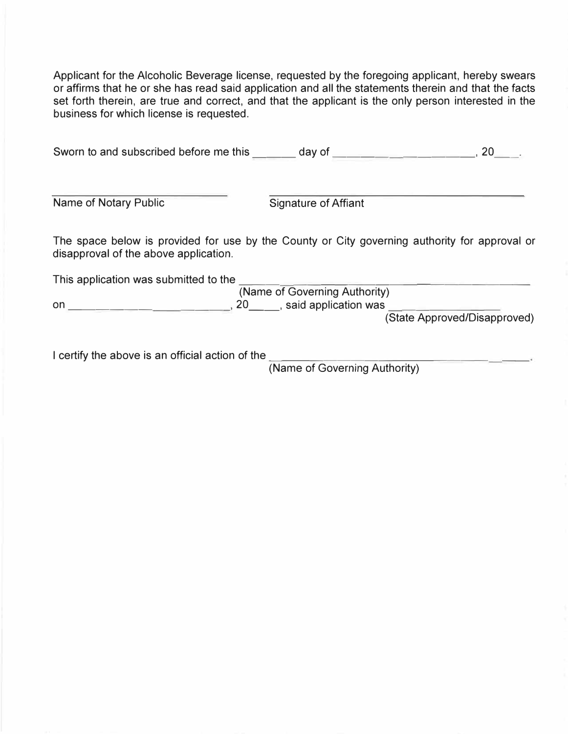Applicant for the Alcoholic Beverage license, requested by the foregoing applicant, hereby swears or affirms that he or she has read said application and all the statements therein and that the facts set forth therein, are true and correct, and that the applicant is the only person interested in the business for which license is requested.

| Sworn to and subscribed before me this                                                                                                 | day of<br><u> 1980 - Antonio Alemania, matematika pre</u> | 20                           |
|----------------------------------------------------------------------------------------------------------------------------------------|-----------------------------------------------------------|------------------------------|
| Name of Notary Public                                                                                                                  | Signature of Affiant                                      |                              |
| The space below is provided for use by the County or City governing authority for approval or<br>disapproval of the above application. |                                                           |                              |
| This application was submitted to the                                                                                                  |                                                           |                              |
|                                                                                                                                        | (Name of Governing Authority)                             |                              |
| on                                                                                                                                     | 20 , said application was                                 |                              |
|                                                                                                                                        |                                                           | (State Approved/Disapproved) |
|                                                                                                                                        |                                                           |                              |
|                                                                                                                                        |                                                           |                              |

I certify the above is an official action of the (Name of Governing Authority)